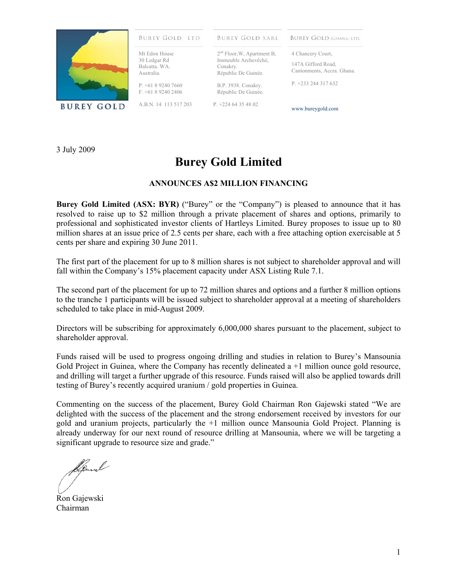

## **BUREY GOLD LTD**

Mt Edon House 30 Ledgar Rd Balcatta. WA. Australia.

P. +61 8 9240 7660 F. +61 8 9240 2406

A.B.N. 14 113 517 203

**BUREY GOLD SARL** 

**BUREY GOLD (GHANA) LTD.** 

2<sup>nd</sup> Floor, W, Apartment B, Immeuble Archevêché, Conakry. Républic De Guinée.

B.P. 3938. Conakry. Républic De Guinée.

P. +224 64 35 48 02

147A Gifford Road, Cantonments, Accra. Ghana.

P. +233 244 317 632

4 Chancery Court,

www.bureygold.com

3 July 2009

## **Burey Gold Limited**

## **ANNOUNCES A\$2 MILLION FINANCING**

**Burey Gold Limited (ASX: BYR)** ("Burey" or the "Company") is pleased to announce that it has resolved to raise up to \$2 million through a private placement of shares and options, primarily to professional and sophisticated investor clients of Hartleys Limited. Burey proposes to issue up to 80 million shares at an issue price of 2.5 cents per share, each with a free attaching option exercisable at 5 cents per share and expiring 30 June 2011.

The first part of the placement for up to 8 million shares is not subject to shareholder approval and will fall within the Company's 15% placement capacity under ASX Listing Rule 7.1.

The second part of the placement for up to 72 million shares and options and a further 8 million options to the tranche 1 participants will be issued subject to shareholder approval at a meeting of shareholders scheduled to take place in mid-August 2009.

Directors will be subscribing for approximately 6,000,000 shares pursuant to the placement, subject to shareholder approval.

Funds raised will be used to progress ongoing drilling and studies in relation to Burey's Mansounia Gold Project in Guinea, where the Company has recently delineated  $a +1$  million ounce gold resource, and drilling will target a further upgrade of this resource. Funds raised will also be applied towards drill testing of Burey's recently acquired uranium / gold properties in Guinea.

Commenting on the success of the placement, Burey Gold Chairman Ron Gajewski stated "We are delighted with the success of the placement and the strong endorsement received by investors for our gold and uranium projects, particularly the +1 million ounce Mansounia Gold Project. Planning is already underway for our next round of resource drilling at Mansounia, where we will be targeting a significant upgrade to resource size and grade."

kung

Ron Gajewski Chairman

1